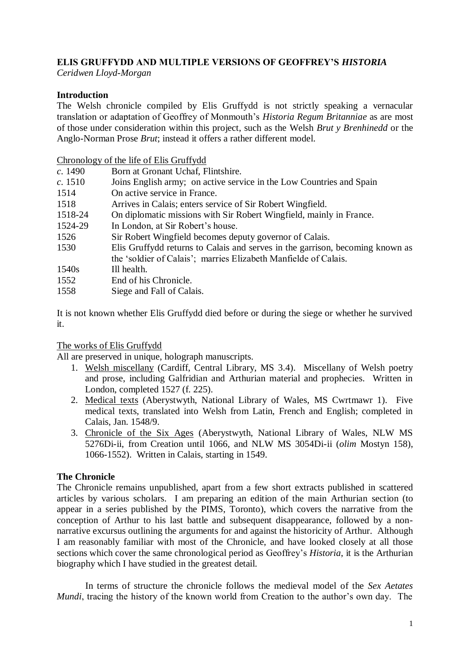# **ELIS GRUFFYDD AND MULTIPLE VERSIONS OF GEOFFREY'S** *HISTORIA*

*Ceridwen Lloyd-Morgan*

## **Introduction**

The Welsh chronicle compiled by Elis Gruffydd is not strictly speaking a vernacular translation or adaptation of Geoffrey of Monmouth's *Historia Regum Britanniae* as are most of those under consideration within this project, such as the Welsh *Brut y Brenhinedd* or the Anglo-Norman Prose *Brut*; instead it offers a rather different model.

### Chronology of the life of Elis Gruffydd

| c. 1490     | Born at Gronant Uchaf, Flintshire.                                            |
|-------------|-------------------------------------------------------------------------------|
| c. 1510     | Joins English army; on active service in the Low Countries and Spain          |
| 1514        | On active service in France.                                                  |
| 1518        | Arrives in Calais; enters service of Sir Robert Wingfield.                    |
| 1518-24     | On diplomatic missions with Sir Robert Wingfield, mainly in France.           |
| 1524-29     | In London, at Sir Robert's house.                                             |
| 1526        | Sir Robert Wingfield becomes deputy governor of Calais.                       |
| 1530        | Elis Gruffydd returns to Calais and serves in the garrison, becoming known as |
|             | the 'soldier of Calais'; marries Elizabeth Manfielde of Calais.               |
| 1540s       | Ill health.                                                                   |
| 1552        | End of his Chronicle.                                                         |
| $1 - 7 - 1$ | 171777777777                                                                  |

1558 Siege and Fall of Calais.

It is not known whether Elis Gruffydd died before or during the siege or whether he survived it.

## The works of Elis Gruffydd

All are preserved in unique, holograph manuscripts.

- 1. Welsh miscellany (Cardiff, Central Library, MS 3.4). Miscellany of Welsh poetry and prose, including Galfridian and Arthurian material and prophecies. Written in London, completed 1527 (f. 225).
- 2. Medical texts (Aberystwyth, National Library of Wales, MS Cwrtmawr 1). Five medical texts, translated into Welsh from Latin, French and English; completed in Calais, Jan. 1548/9.
- 3. Chronicle of the Six Ages (Aberystwyth, National Library of Wales, NLW MS 5276Di-ii, from Creation until 1066, and NLW MS 3054Di-ii (*olim* Mostyn 158), 1066-1552). Written in Calais, starting in 1549.

## **The Chronicle**

The Chronicle remains unpublished, apart from a few short extracts published in scattered articles by various scholars. I am preparing an edition of the main Arthurian section (to appear in a series published by the PIMS, Toronto), which covers the narrative from the conception of Arthur to his last battle and subsequent disappearance, followed by a nonnarrative excursus outlining the arguments for and against the historicity of Arthur. Although I am reasonably familiar with most of the Chronicle, and have looked closely at all those sections which cover the same chronological period as Geoffrey's *Historia*, it is the Arthurian biography which I have studied in the greatest detail.

In terms of structure the chronicle follows the medieval model of the *Sex Aetates Mundi*, tracing the history of the known world from Creation to the author's own day. The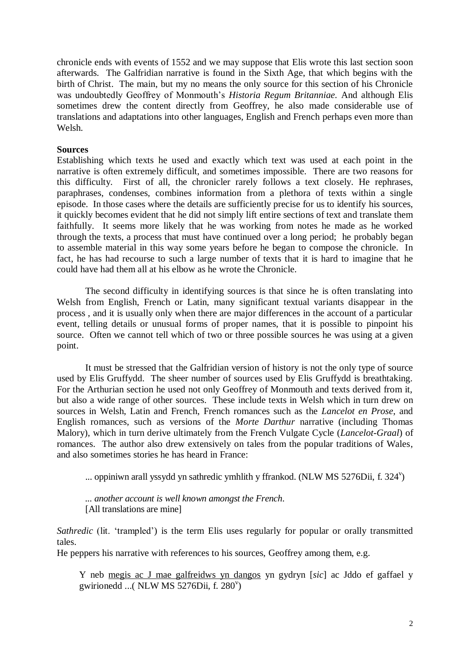chronicle ends with events of 1552 and we may suppose that Elis wrote this last section soon afterwards. The Galfridian narrative is found in the Sixth Age, that which begins with the birth of Christ. The main, but my no means the only source for this section of his Chronicle was undoubtedly Geoffrey of Monmouth's *Historia Regum Britanniae.* And although Elis sometimes drew the content directly from Geoffrey, he also made considerable use of translations and adaptations into other languages, English and French perhaps even more than Welsh.

### **Sources**

Establishing which texts he used and exactly which text was used at each point in the narrative is often extremely difficult, and sometimes impossible. There are two reasons for this difficulty. First of all, the chronicler rarely follows a text closely. He rephrases, paraphrases, condenses, combines information from a plethora of texts within a single episode. In those cases where the details are sufficiently precise for us to identify his sources, it quickly becomes evident that he did not simply lift entire sections of text and translate them faithfully. It seems more likely that he was working from notes he made as he worked through the texts, a process that must have continued over a long period; he probably began to assemble material in this way some years before he began to compose the chronicle. In fact, he has had recourse to such a large number of texts that it is hard to imagine that he could have had them all at his elbow as he wrote the Chronicle.

The second difficulty in identifying sources is that since he is often translating into Welsh from English, French or Latin, many significant textual variants disappear in the process , and it is usually only when there are major differences in the account of a particular event, telling details or unusual forms of proper names, that it is possible to pinpoint his source. Often we cannot tell which of two or three possible sources he was using at a given point.

It must be stressed that the Galfridian version of history is not the only type of source used by Elis Gruffydd. The sheer number of sources used by Elis Gruffydd is breathtaking. For the Arthurian section he used not only Geoffrey of Monmouth and texts derived from it, but also a wide range of other sources. These include texts in Welsh which in turn drew on sources in Welsh, Latin and French, French romances such as the *Lancelot en Prose*, and English romances, such as versions of the *Morte Darthur* narrative (including Thomas Malory), which in turn derive ultimately from the French Vulgate Cycle (*Lancelot-Graal*) of romances. The author also drew extensively on tales from the popular traditions of Wales, and also sometimes stories he has heard in France:

... oppiniwn arall yssydd yn sathredic ymhlith y ffrankod. (NLW MS 5276Dii, f. 324<sup>v</sup>)

*... another account is well known amongst the French*. [All translations are mine]

*Sathredic* (lit. 'trampled') is the term Elis uses regularly for popular or orally transmitted tales.

He peppers his narrative with references to his sources, Geoffrey among them, e.g.

Y neb megis ac J mae galfreidws yn dangos yn gydryn [*sic*] ac Jddo ef gaffael y gwirionedd ... (NLW MS 5276Dii, f. 280<sup>v</sup>)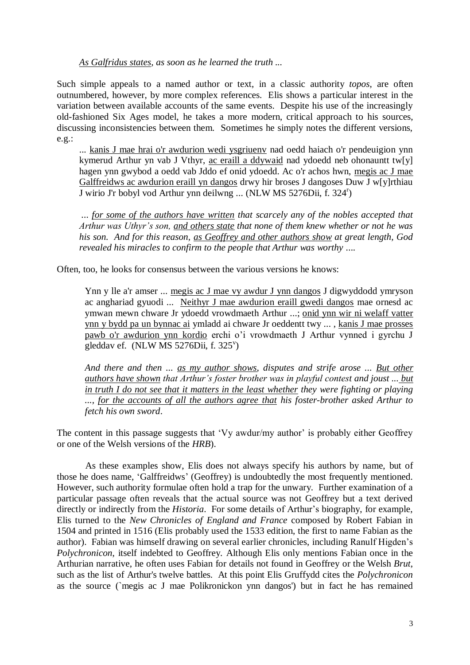#### *As Galfridus states, as soon as he learned the truth ...*

Such simple appeals to a named author or text, in a classic authority *topos*, are often outnumbered, however, by more complex references. Elis shows a particular interest in the variation between available accounts of the same events. Despite his use of the increasingly old-fashioned Six Ages model, he takes a more modern, critical approach to his sources, discussing inconsistencies between them. Sometimes he simply notes the different versions, e.g.:

... kanis J mae hrai o'r awdurion wedi ysgriuenv nad oedd haiach o'r pendeuigion ynn kymerud Arthur yn vab J Vthyr, ac eraill a ddywaid nad ydoedd neb ohonauntt tw[y] hagen ynn gwybod a oedd vab Jddo ef onid ydoedd. Ac o'r achos hwn, megis ac J mae Galffreidws ac awdurion eraill yn dangos drwy hir broses J dangoses Duw J w[y]rthiau J wirio J'r bobyl vod Arthur ynn deilwng ... (NLW MS 5276Dii, f. 324<sup>r</sup>)

*... for some of the authors have written that scarcely any of the nobles accepted that Arthur was Uthyr's son, and others state that none of them knew whether or not he was his son. And for this reason, as Geoffrey and other authors show at great length, God revealed his miracles to confirm to the people that Arthur was worthy ....* 

Often, too, he looks for consensus between the various versions he knows:

Ynn y lle a'r amser ... megis ac J mae vy awdur J ynn dangos J digwyddodd ymryson ac anghariad gyuodi ... Neithyr J mae awdurion eraill gwedi dangos mae ornesd ac ymwan mewn chware Jr ydoedd vrowdmaeth Arthur ...; onid ynn wir ni welaff vatter ynn y bydd pa un bynnac ai ymladd ai chware Jr oeddentt twy ... , kanis J mae prosses pawb o'r awdurion ynn kordio erchi o'i vrowdmaeth J Arthur vynned i gyrchu J gleddav ef. (NLW MS 5276Dii, f. 325<sup>v</sup>)

*And there and then ... as my author shows, disputes and strife arose ... But other authors have shown that Arthur's foster brother was in playful contest and joust ... but in truth I do not see that it matters in the least whether they were fighting or playing ..., for the accounts of all the authors agree that his foster-brother asked Arthur to fetch his own sword*.

The content in this passage suggests that 'Vy awdur/my author' is probably either Geoffrey or one of the Welsh versions of the *HRB*).

As these examples show, Elis does not always specify his authors by name, but of those he does name, 'Galffreidws' (Geoffrey) is undoubtedly the most frequently mentioned. However, such authority formulae often hold a trap for the unwary. Further examination of a particular passage often reveals that the actual source was not Geoffrey but a text derived directly or indirectly from the *Historia*. For some details of Arthur's biography, for example, Elis turned to the *New Chronicles of England and France* composed by Robert Fabian in 1504 and printed in 1516 (Elis probably used the 1533 edition, the first to name Fabian as the author). Fabian was himself drawing on several earlier chronicles, including Ranulf Higden's *Polychronicon*, itself indebted to Geoffrey. Although Elis only mentions Fabian once in the Arthurian narrative, he often uses Fabian for details not found in Geoffrey or the Welsh *Brut*, such as the list of Arthur's twelve battles. At this point Elis Gruffydd cites the *Polychronicon* as the source (`megis ac J mae Polikronickon ynn dangos') but in fact he has remained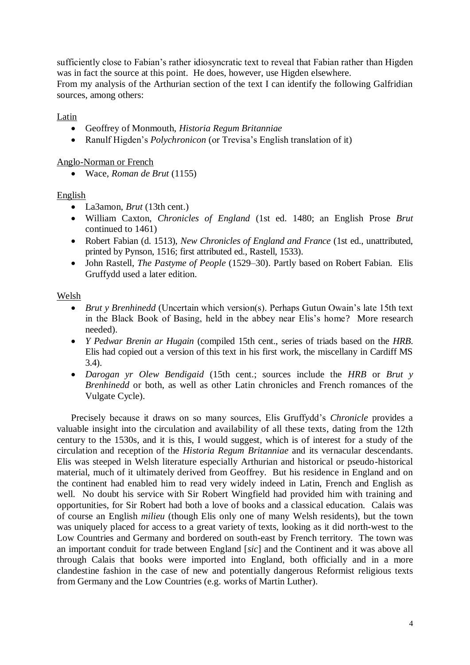sufficiently close to Fabian's rather idiosyncratic text to reveal that Fabian rather than Higden was in fact the source at this point. He does, however, use Higden elsewhere.

From my analysis of the Arthurian section of the text I can identify the following Galfridian sources, among others:

Latin

- Geoffrey of Monmouth, *Historia Regum Britanniae*
- Ranulf Higden's *Polychronicon* (or Trevisa's English translation of it)

Anglo-Norman or French

Wace, *Roman de Brut* (1155)

English

- La3amon, *Brut* (13th cent.)
- William Caxton, *Chronicles of England* (1st ed. 1480; an English Prose *Brut* continued to 1461)
- Robert Fabian (d. 1513), *New Chronicles of England and France* (1st ed., unattributed, printed by Pynson, 1516; first attributed ed., Rastell, 1533).
- John Rastell, *The Pastyme of People* (1529–30). Partly based on Robert Fabian. Elis Gruffydd used a later edition.

### Welsh

- *Brut y Brenhinedd* (Uncertain which version(s). Perhaps Gutun Owain's late 15th text in the Black Book of Basing, held in the abbey near Elis's home? More research needed).
- *Y Pedwar Brenin ar Hugain* (compiled 15th cent., series of triads based on the *HRB*. Elis had copied out a version of this text in his first work, the miscellany in Cardiff MS 3.4).
- *Darogan yr Olew Bendigaid* (15th cent.; sources include the *HRB* or *Brut y Brenhinedd* or both, as well as other Latin chronicles and French romances of the Vulgate Cycle).

Precisely because it draws on so many sources, Elis Gruffydd's *Chronicle* provides a valuable insight into the circulation and availability of all these texts, dating from the 12th century to the 1530s, and it is this, I would suggest, which is of interest for a study of the circulation and reception of the *Historia Regum Britanniae* and its vernacular descendants. Elis was steeped in Welsh literature especially Arthurian and historical or pseudo-historical material, much of it ultimately derived from Geoffrey. But his residence in England and on the continent had enabled him to read very widely indeed in Latin, French and English as well. No doubt his service with Sir Robert Wingfield had provided him with training and opportunities, for Sir Robert had both a love of books and a classical education. Calais was of course an English *milieu* (though Elis only one of many Welsh residents), but the town was uniquely placed for access to a great variety of texts, looking as it did north-west to the Low Countries and Germany and bordered on south-east by French territory. The town was an important conduit for trade between England [*sic*] and the Continent and it was above all through Calais that books were imported into England, both officially and in a more clandestine fashion in the case of new and potentially dangerous Reformist religious texts from Germany and the Low Countries (e.g. works of Martin Luther).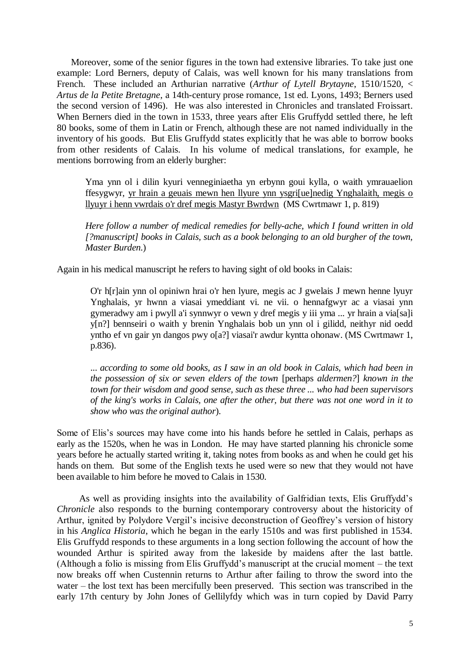Moreover, some of the senior figures in the town had extensive libraries. To take just one example: Lord Berners, deputy of Calais, was well known for his many translations from French. These included an Arthurian narrative (*Arthur of Lytell Brytayne*, 1510/1520, < *Artus de la Petite Bretagne*, a 14th-century prose romance, 1st ed. Lyons, 1493; Berners used the second version of 1496). He was also interested in Chronicles and translated Froissart. When Berners died in the town in 1533, three years after Elis Gruffydd settled there, he left 80 books, some of them in Latin or French, although these are not named individually in the inventory of his goods. But Elis Gruffydd states explicitly that he was able to borrow books from other residents of Calais. In his volume of medical translations, for example, he mentions borrowing from an elderly burgher:

Yma ynn ol i dilin kyuri venneginiaetha yn erbynn goui kylla, o waith ymrauaelion ffesygwyr, yr hrain a geuais mewn hen llyure ynn ysgri[ue]nedig Ynghalaith, megis o llyuyr i henn vwrdais o'r dref megis Mastyr Bwrdwn (MS Cwrtmawr 1, p. 819)

*Here follow a number of medical remedies for belly-ache, which I found written in old [?manuscript] books in Calais, such as a book belonging to an old burgher of the town, Master Burden*.)

Again in his medical manuscript he refers to having sight of old books in Calais:

O'r h[r]ain ynn ol opiniwn hrai o'r hen lyure, megis ac J gwelais J mewn henne lyuyr Ynghalais, yr hwnn a viasai ymeddiant vi. ne vii. o hennafgwyr ac a viasai ynn gymeradwy am i pwyll a'i synnwyr o vewn y dref megis y iii yma ... yr hrain a via[sa]i y[n?] bennseiri o waith y brenin Ynghalais bob un ynn ol i gilidd, neithyr nid oedd yntho ef vn gair yn dangos pwy o[a?] viasai'r awdur kyntta ohonaw. (MS Cwrtmawr 1, p.836).

... *according to some old books, as I saw in an old book in Calais, which had been in the possession of six or seven elders of the town* [perhaps *aldermen?*] *known in the town for their wisdom and good sense, such as these three ... who had been supervisors of the king's works in Calais, one after the other, but there was not one word in it to show who was the original author*).

Some of Elis's sources may have come into his hands before he settled in Calais, perhaps as early as the 1520s, when he was in London. He may have started planning his chronicle some years before he actually started writing it, taking notes from books as and when he could get his hands on them. But some of the English texts he used were so new that they would not have been available to him before he moved to Calais in 1530.

As well as providing insights into the availability of Galfridian texts, Elis Gruffydd's *Chronicle* also responds to the burning contemporary controversy about the historicity of Arthur, ignited by Polydore Vergil's incisive deconstruction of Geoffrey's version of history in his *Anglica Historia*, which he began in the early 1510s and was first published in 1534. Elis Gruffydd responds to these arguments in a long section following the account of how the wounded Arthur is spirited away from the lakeside by maidens after the last battle. (Although a folio is missing from Elis Gruffydd's manuscript at the crucial moment – the text now breaks off when Custennin returns to Arthur after failing to throw the sword into the water – the lost text has been mercifully been preserved. This section was transcribed in the early 17th century by John Jones of Gellilyfdy which was in turn copied by David Parry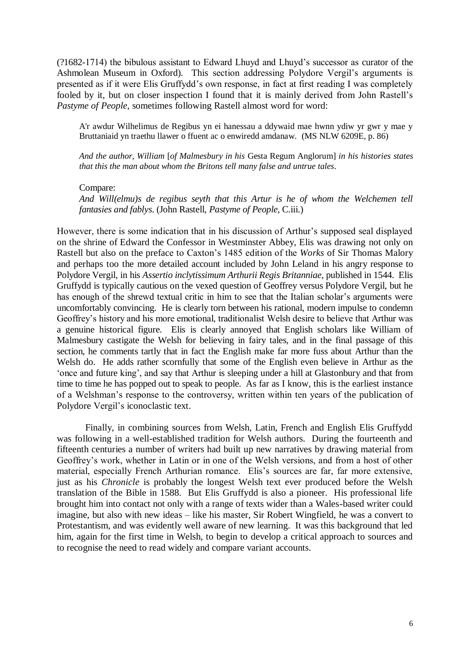(?1682-1714) the bibulous assistant to Edward Lhuyd and Lhuyd's successor as curator of the Ashmolean Museum in Oxford). This section addressing Polydore Vergil's arguments is presented as if it were Elis Gruffydd's own response, in fact at first reading I was completely fooled by it, but on closer inspection I found that it is mainly derived from John Rastell's *Pastyme of People*, sometimes following Rastell almost word for word:

A'r awdur Wilhelimus de Regibus yn ei hanessau a ddywaid mae hwnn ydiw yr gwr y mae y Bruttaniaid yn traethu llawer o ffuent ac o enwiredd amdanaw. (MS NLW 6209E, p. 86)

*And the author, William* [*of Malmesbury in his* Gesta Regum Anglorum] *in his histories states that this the man about whom the Britons tell many false and untrue tales*.

#### Compare:

*And Will(elmu)s de regibus seyth that this Artur is he of whom the Welchemen tell fantasies and fablys*. (John Rastell, *Pastyme of People,* C.iii.)

However, there is some indication that in his discussion of Arthur's supposed seal displayed on the shrine of Edward the Confessor in Westminster Abbey, Elis was drawing not only on Rastell but also on the preface to Caxton's 1485 edition of the *Works* of Sir Thomas Malory and perhaps too the more detailed account included by John Leland in his angry response to Polydore Vergil, in his *Assertio inclytissimum Arthurii Regis Britanniae*, published in 1544. Elis Gruffydd is typically cautious on the vexed question of Geoffrey versus Polydore Vergil, but he has enough of the shrewd textual critic in him to see that the Italian scholar's arguments were uncomfortably convincing. He is clearly torn between his rational, modern impulse to condemn Geoffrey's history and his more emotional, traditionalist Welsh desire to believe that Arthur was a genuine historical figure. Elis is clearly annoyed that English scholars like William of Malmesbury castigate the Welsh for believing in fairy tales, and in the final passage of this section, he comments tartly that in fact the English make far more fuss about Arthur than the Welsh do. He adds rather scornfully that some of the English even believe in Arthur as the 'once and future king', and say that Arthur is sleeping under a hill at Glastonbury and that from time to time he has popped out to speak to people. As far as I know, this is the earliest instance of a Welshman's response to the controversy, written within ten years of the publication of Polydore Vergil's iconoclastic text.

Finally, in combining sources from Welsh, Latin, French and English Elis Gruffydd was following in a well-established tradition for Welsh authors. During the fourteenth and fifteenth centuries a number of writers had built up new narratives by drawing material from Geoffrey's work, whether in Latin or in one of the Welsh versions, and from a host of other material, especially French Arthurian romance. Elis's sources are far, far more extensive, just as his *Chronicle* is probably the longest Welsh text ever produced before the Welsh translation of the Bible in 1588. But Elis Gruffydd is also a pioneer. His professional life brought him into contact not only with a range of texts wider than a Wales-based writer could imagine, but also with new ideas – like his master, Sir Robert Wingfield, he was a convert to Protestantism, and was evidently well aware of new learning. It was this background that led him, again for the first time in Welsh, to begin to develop a critical approach to sources and to recognise the need to read widely and compare variant accounts.